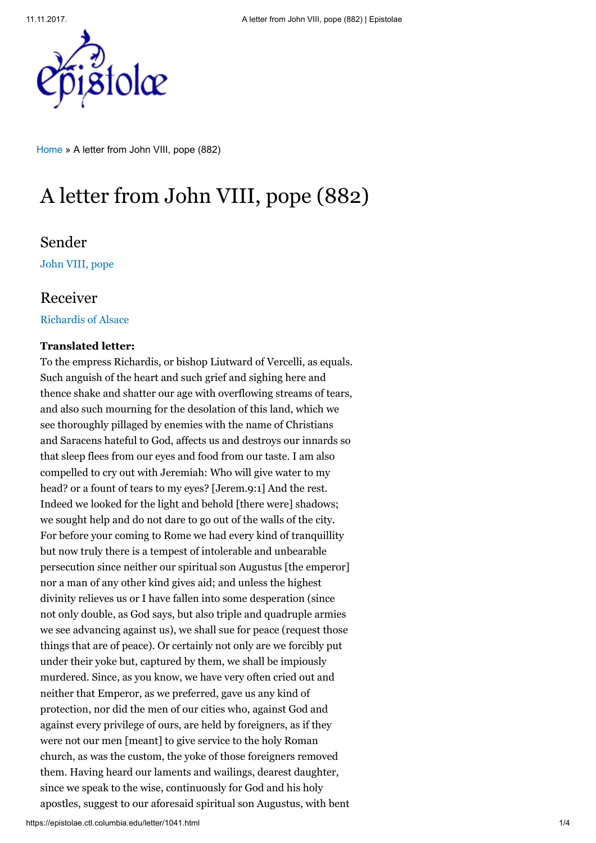

[Home](https://epistolae.ctl.columbia.edu/) » A letter from John VIII, pope (882)

# A letter from John VIII, pope (882)

## Sender

[John VIII, pope](https://epistolae.ctl.columbia.edu/people/21439.html)

### Receiver

[Richardis of Alsace](https://epistolae.ctl.columbia.edu/woman/106.html)

### Translated letter:

To the empress Richardis, or bishop Liutward of Vercelli, as equals. Such anguish of the heart and such grief and sighing here and thence shake and shatter our age with overflowing streams of tears, and also such mourning for the desolation of this land, which we see thoroughly pillaged by enemies with the name of Christians and Saracens hateful to God, affects us and destroys our innards so that sleep flees from our eyes and food from our taste. I am also compelled to cry out with Jeremiah: Who will give water to my head? or a fount of tears to my eyes? [Jerem.9:1] And the rest. Indeed we looked for the light and behold [there were] shadows; we sought help and do not dare to go out of the walls of the city. For before your coming to Rome we had every kind of tranquillity but now truly there is a tempest of intolerable and unbearable persecution since neither our spiritual son Augustus [the emperor] nor a man of any other kind gives aid; and unless the highest divinity relieves us or I have fallen into some desperation (since not only double, as God says, but also triple and quadruple armies we see advancing against us), we shall sue for peace (request those things that are of peace). Or certainly not only are we forcibly put under their yoke but, captured by them, we shall be impiously murdered. Since, as you know, we have very often cried out and neither that Emperor, as we preferred, gave us any kind of protection, nor did the men of our cities who, against God and against every privilege of ours, are held by foreigners, as if they were not our men [meant] to give service to the holy Roman church, as was the custom, the yoke of those foreigners removed them. Having heard our laments and wailings, dearest daughter, since we speak to the wise, continuously for God and his holy apostles, suggest to our aforesaid spiritual son Augustus, with bent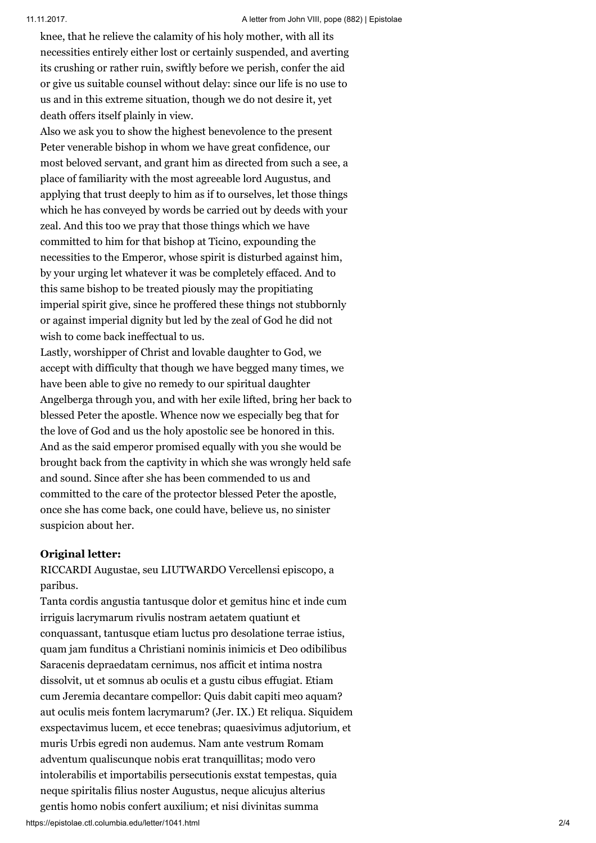knee, that he relieve the calamity of his holy mother, with all its necessities entirely either lost or certainly suspended, and averting its crushing or rather ruin, swiftly before we perish, confer the aid or give us suitable counsel without delay: since our life is no use to us and in this extreme situation, though we do not desire it, yet death offers itself plainly in view.

Also we ask you to show the highest benevolence to the present Peter venerable bishop in whom we have great confidence, our most beloved servant, and grant him as directed from such a see, a place of familiarity with the most agreeable lord Augustus, and applying that trust deeply to him as if to ourselves, let those things which he has conveyed by words be carried out by deeds with your zeal. And this too we pray that those things which we have committed to him for that bishop at Ticino, expounding the necessities to the Emperor, whose spirit is disturbed against him, by your urging let whatever it was be completely effaced. And to this same bishop to be treated piously may the propitiating imperial spirit give, since he proffered these things not stubbornly or against imperial dignity but led by the zeal of God he did not wish to come back ineffectual to us.

Lastly, worshipper of Christ and lovable daughter to God, we accept with difficulty that though we have begged many times, we have been able to give no remedy to our spiritual daughter Angelberga through you, and with her exile lifted, bring her back to blessed Peter the apostle. Whence now we especially beg that for the love of God and us the holy apostolic see be honored in this. And as the said emperor promised equally with you she would be brought back from the captivity in which she was wrongly held safe and sound. Since after she has been commended to us and committed to the care of the protector blessed Peter the apostle, once she has come back, one could have, believe us, no sinister suspicion about her.

### Original letter:

RICCARDI Augustae, seu LIUTWARDO Vercellensi episcopo, a paribus.

Tanta cordis angustia tantusque dolor et gemitus hinc et inde cum irriguis lacrymarum rivulis nostram aetatem quatiunt et conquassant, tantusque etiam luctus pro desolatione terrae istius, quam jam funditus a Christiani nominis inimicis et Deo odibilibus Saracenis depraedatam cernimus, nos afficit et intima nostra dissolvit, ut et somnus ab oculis et a gustu cibus effugiat. Etiam cum Jeremia decantare compellor: Quis dabit capiti meo aquam? aut oculis meis fontem lacrymarum? (Jer. IX.) Et reliqua. Siquidem exspectavimus lucem, et ecce tenebras; quaesivimus adjutorium, et muris Urbis egredi non audemus. Nam ante vestrum Romam adventum qualiscunque nobis erat tranquillitas; modo vero intolerabilis et importabilis persecutionis exstat tempestas, quia neque spiritalis filius noster Augustus, neque alicujus alterius gentis homo nobis confert auxilium; et nisi divinitas summa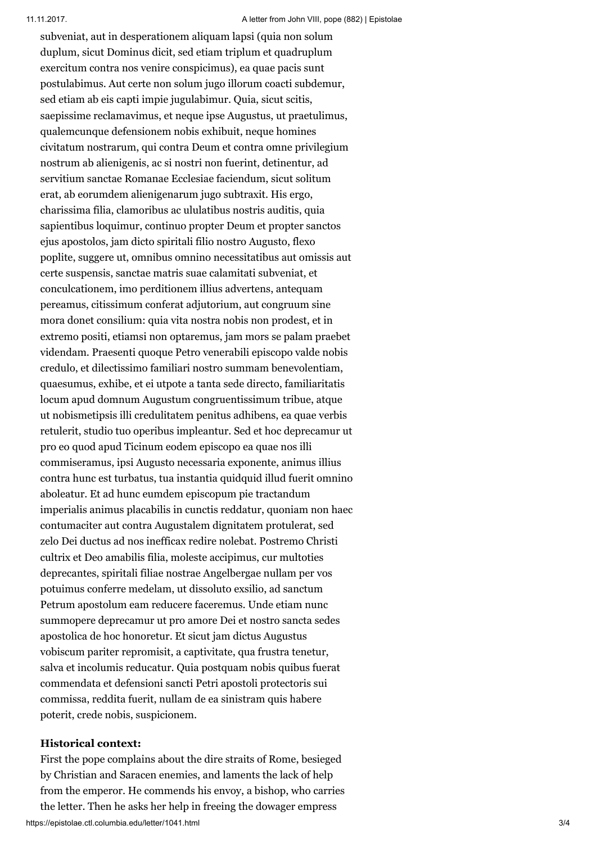subveniat, aut in desperationem aliquam lapsi (quia non solum duplum, sicut Dominus dicit, sed etiam triplum et quadruplum exercitum contra nos venire conspicimus), ea quae pacis sunt postulabimus. Aut certe non solum jugo illorum coacti subdemur, sed etiam ab eis capti impie jugulabimur. Quia, sicut scitis, saepissime reclamavimus, et neque ipse Augustus, ut praetulimus, qualemcunque defensionem nobis exhibuit, neque homines civitatum nostrarum, qui contra Deum et contra omne privilegium nostrum ab alienigenis, ac si nostri non fuerint, detinentur, ad servitium sanctae Romanae Ecclesiae faciendum, sicut solitum erat, ab eorumdem alienigenarum jugo subtraxit. His ergo, charissima filia, clamoribus ac ululatibus nostris auditis, quia sapientibus loquimur, continuo propter Deum et propter sanctos ejus apostolos, jam dicto spiritali filio nostro Augusto, flexo poplite, suggere ut, omnibus omnino necessitatibus aut omissis aut certe suspensis, sanctae matris suae calamitati subveniat, et conculcationem, imo perditionem illius advertens, antequam pereamus, citissimum conferat adjutorium, aut congruum sine mora donet consilium: quia vita nostra nobis non prodest, et in extremo positi, etiamsi non optaremus, jam mors se palam praebet videndam. Praesenti quoque Petro venerabili episcopo valde nobis credulo, et dilectissimo familiari nostro summam benevolentiam, quaesumus, exhibe, et ei utpote a tanta sede directo, familiaritatis locum apud domnum Augustum congruentissimum tribue, atque ut nobismetipsis illi credulitatem penitus adhibens, ea quae verbis retulerit, studio tuo operibus impleantur. Sed et hoc deprecamur ut pro eo quod apud Ticinum eodem episcopo ea quae nos illi commiseramus, ipsi Augusto necessaria exponente, animus illius contra hunc est turbatus, tua instantia quidquid illud fuerit omnino aboleatur. Et ad hunc eumdem episcopum pie tractandum imperialis animus placabilis in cunctis reddatur, quoniam non haec contumaciter aut contra Augustalem dignitatem protulerat, sed zelo Dei ductus ad nos inefficax redire nolebat. Postremo Christi cultrix et Deo amabilis filia, moleste accipimus, cur multoties deprecantes, spiritali filiae nostrae Angelbergae nullam per vos potuimus conferre medelam, ut dissoluto exsilio, ad sanctum Petrum apostolum eam reducere faceremus. Unde etiam nunc summopere deprecamur ut pro amore Dei et nostro sancta sedes apostolica de hoc honoretur. Et sicut jam dictus Augustus vobiscum pariter repromisit, a captivitate, qua frustra tenetur, salva et incolumis reducatur. Quia postquam nobis quibus fuerat commendata et defensioni sancti Petri apostoli protectoris sui commissa, reddita fuerit, nullam de ea sinistram quis habere poterit, crede nobis, suspicionem.

### Historical context:

https://epistolae.ctl.columbia.edu/letter/1041.html 3/4 First the pope complains about the dire straits of Rome, besieged by Christian and Saracen enemies, and laments the lack of help from the emperor. He commends his envoy, a bishop, who carries the letter. Then he asks her help in freeing the dowager empress